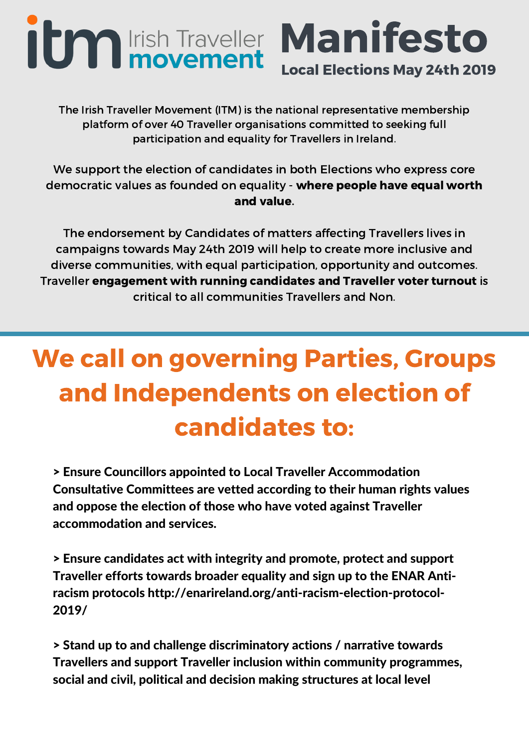## Manifesto **itm** Irish Traveller Local Elections May 24th 2019

The Irish Traveller Movement (ITM) is the national representative membership platform of over 40 Traveller organisations committed to seeking full participation and equality for Travellers in Ireland.

We support the election of candidates in both Elections who express core democratic values as founded on equality - where people have equal worth and value.

The endorsement by Candidates of matters affecting Travellers lives in campaigns towards May 24th 2019 will help to create more inclusive and diverse communities, with equal participation, opportunity and outcomes. Traveller engagement with running candidates and Traveller voter turnout is critical to all communities Travellers and Non.

## We call on governing Parties, Groups and Independents on election of candidates to:

> Ensure Councillors appointed to Local Traveller Accommodation Consultative Committees are vetted according to their human rights values and oppose the election of those who have voted against Traveller accommodation and services.

> Ensure candidates act with integrity and promote, protect and support Traveller efforts towards broader equality and sign up to the ENAR Antiracism protocols http://enarireland.org/anti-racism-election-protocol-2019/

> Stand up to and challenge discriminatory actions / narrative towards Travellers and support Traveller inclusion within community programmes, social and civil, political and decision making structures at local level